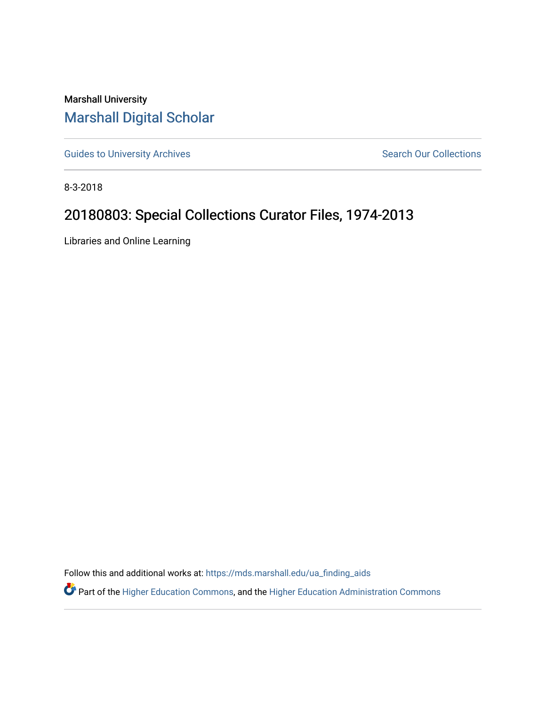## Marshall University [Marshall Digital Scholar](https://mds.marshall.edu/)

[Guides to University Archives](https://mds.marshall.edu/ua_finding_aids) **Search Our Collections** Search Our Collections

8-3-2018

## 20180803: Special Collections Curator Files, 1974-2013

Libraries and Online Learning

Follow this and additional works at: [https://mds.marshall.edu/ua\\_finding\\_aids](https://mds.marshall.edu/ua_finding_aids?utm_source=mds.marshall.edu%2Fua_finding_aids%2F52&utm_medium=PDF&utm_campaign=PDFCoverPages) 

Part of the [Higher Education Commons,](http://network.bepress.com/hgg/discipline/1245?utm_source=mds.marshall.edu%2Fua_finding_aids%2F52&utm_medium=PDF&utm_campaign=PDFCoverPages) and the [Higher Education Administration Commons](http://network.bepress.com/hgg/discipline/791?utm_source=mds.marshall.edu%2Fua_finding_aids%2F52&utm_medium=PDF&utm_campaign=PDFCoverPages)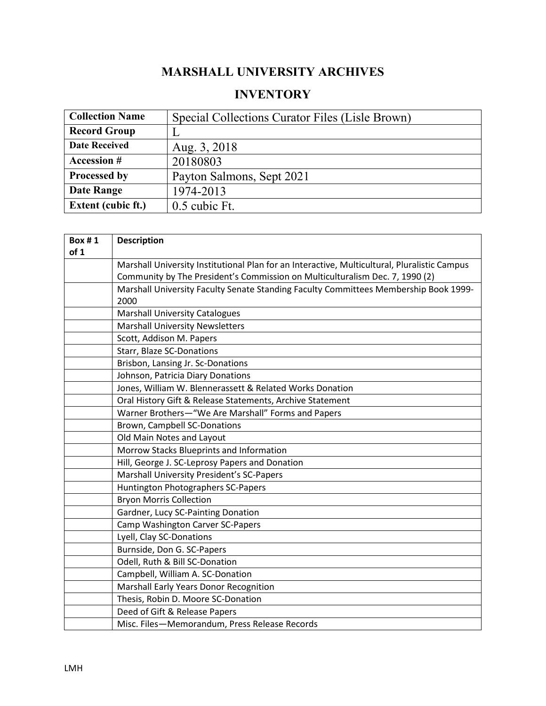## **MARSHALL UNIVERSITY ARCHIVES**

## **INVENTORY**

| <b>Collection Name</b>    | Special Collections Curator Files (Lisle Brown) |
|---------------------------|-------------------------------------------------|
| <b>Record Group</b>       |                                                 |
| <b>Date Received</b>      | Aug. 3, 2018                                    |
| <b>Accession #</b>        | 20180803                                        |
| Processed by              | Payton Salmons, Sept 2021                       |
| <b>Date Range</b>         | 1974-2013                                       |
| <b>Extent (cubic ft.)</b> | 0.5 cubic Ft.                                   |

| <b>Box #1</b><br>of 1 | <b>Description</b>                                                                           |
|-----------------------|----------------------------------------------------------------------------------------------|
|                       | Marshall University Institutional Plan for an Interactive, Multicultural, Pluralistic Campus |
|                       | Community by The President's Commission on Multiculturalism Dec. 7, 1990 (2)                 |
|                       | Marshall University Faculty Senate Standing Faculty Committees Membership Book 1999-<br>2000 |
|                       | <b>Marshall University Catalogues</b>                                                        |
|                       | <b>Marshall University Newsletters</b>                                                       |
|                       | Scott, Addison M. Papers                                                                     |
|                       | <b>Starr, Blaze SC-Donations</b>                                                             |
|                       | Brisbon, Lansing Jr. Sc-Donations                                                            |
|                       | Johnson, Patricia Diary Donations                                                            |
|                       | Jones, William W. Blennerassett & Related Works Donation                                     |
|                       | Oral History Gift & Release Statements, Archive Statement                                    |
|                       | Warner Brothers-"We Are Marshall" Forms and Papers                                           |
|                       | Brown, Campbell SC-Donations                                                                 |
|                       | Old Main Notes and Layout                                                                    |
|                       | Morrow Stacks Blueprints and Information                                                     |
|                       | Hill, George J. SC-Leprosy Papers and Donation                                               |
|                       | Marshall University President's SC-Papers                                                    |
|                       | Huntington Photographers SC-Papers                                                           |
|                       | <b>Bryon Morris Collection</b>                                                               |
|                       | Gardner, Lucy SC-Painting Donation                                                           |
|                       | Camp Washington Carver SC-Papers                                                             |
|                       | Lyell, Clay SC-Donations                                                                     |
|                       | Burnside, Don G. SC-Papers                                                                   |
|                       | Odell, Ruth & Bill SC-Donation                                                               |
|                       | Campbell, William A. SC-Donation                                                             |
|                       | Marshall Early Years Donor Recognition                                                       |
|                       | Thesis, Robin D. Moore SC-Donation                                                           |
|                       | Deed of Gift & Release Papers                                                                |
|                       | Misc. Files-Memorandum, Press Release Records                                                |